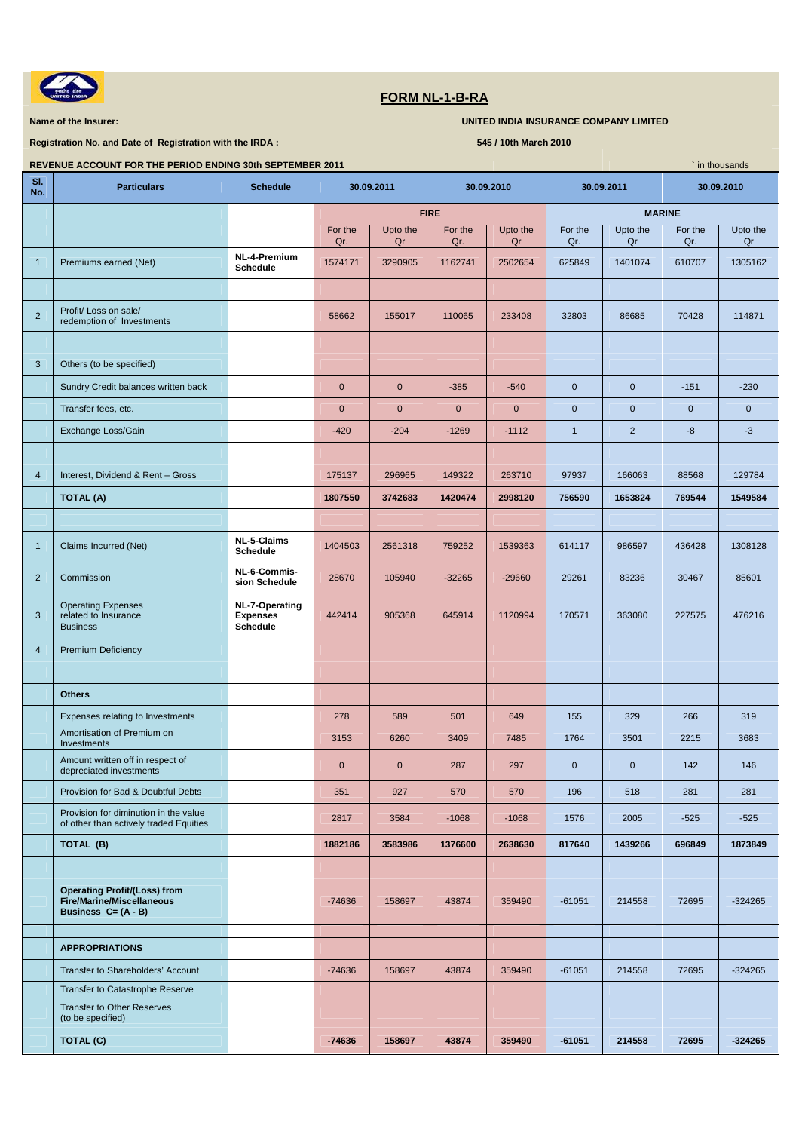

## **FORM NL-1-B-RA**

**Name of the Insurer: We are the Insurer: We are the Insurance COMPANY LIMITED INDIA INSURANCE COMPANY LIMITED** 

**Registration No. and Date of Registration with the IRDA : 545 / 10th March 2010** 

| REVENUE ACCOUNT FOR THE PERIOD ENDING 30th SEPTEMBER 2011<br>in thousands |                                                                                                   |                                                      |                |                |                |                |                |                |                |                |  |
|---------------------------------------------------------------------------|---------------------------------------------------------------------------------------------------|------------------------------------------------------|----------------|----------------|----------------|----------------|----------------|----------------|----------------|----------------|--|
| SI.<br>No.                                                                | <b>Particulars</b>                                                                                | <b>Schedule</b>                                      |                | 30.09.2011     | 30.09.2010     |                | 30.09.2011     |                | 30.09.2010     |                |  |
|                                                                           |                                                                                                   |                                                      | <b>FIRE</b>    |                |                |                | <b>MARINE</b>  |                |                |                |  |
|                                                                           |                                                                                                   |                                                      | For the<br>Qr. | Upto the<br>Qr | For the<br>Qr. | Upto the<br>Qr | For the<br>Qr. | Upto the<br>Qr | For the<br>Qr. | Upto the<br>Qr |  |
| $\mathbf{1}$                                                              | Premiums earned (Net)                                                                             | NL-4-Premium<br><b>Schedule</b>                      | 1574171        | 3290905        | 1162741        | 2502654        | 625849         | 1401074        | 610707         | 1305162        |  |
|                                                                           |                                                                                                   |                                                      |                |                |                |                |                |                |                |                |  |
| $\overline{2}$                                                            | Profit/ Loss on sale/<br>redemption of Investments                                                |                                                      | 58662          | 155017         | 110065         | 233408         | 32803          | 86685          | 70428          | 114871         |  |
|                                                                           |                                                                                                   |                                                      |                |                |                |                |                |                |                |                |  |
| 3                                                                         | Others (to be specified)                                                                          |                                                      |                |                |                |                |                |                |                |                |  |
|                                                                           | Sundry Credit balances written back                                                               |                                                      | $\pmb{0}$      | $\mathbf 0$    | $-385$         | $-540$         | $\mathbf 0$    | $\pmb{0}$      | $-151$         | $-230$         |  |
|                                                                           | Transfer fees, etc.                                                                               |                                                      | $\mathbf{0}$   | $\mathbf{0}$   | $\pmb{0}$      | $\mathbf 0$    | $\mathbf{0}$   | $\mathbf 0$    | $\mathbf 0$    | $\pmb{0}$      |  |
|                                                                           | Exchange Loss/Gain                                                                                |                                                      | $-420$         | $-204$         | $-1269$        | $-1112$        | $\overline{1}$ | $\overline{2}$ | -8             | $-3$           |  |
|                                                                           |                                                                                                   |                                                      |                |                |                |                |                |                |                |                |  |
| $\overline{4}$                                                            | Interest, Dividend & Rent - Gross                                                                 |                                                      | 175137         | 296965         | 149322         | 263710         | 97937          | 166063         | 88568          | 129784         |  |
|                                                                           | <b>TOTAL (A)</b>                                                                                  |                                                      | 1807550        | 3742683        | 1420474        | 2998120        | 756590         | 1653824        | 769544         | 1549584        |  |
|                                                                           |                                                                                                   |                                                      |                |                |                |                |                |                |                |                |  |
| $\mathbf{1}$                                                              | Claims Incurred (Net)                                                                             | NL-5-Claims<br><b>Schedule</b>                       | 1404503        | 2561318        | 759252         | 1539363        | 614117         | 986597         | 436428         | 1308128        |  |
| $\overline{2}$                                                            | Commission                                                                                        | NL-6-Commis-<br>sion Schedule                        | 28670          | 105940         | $-32265$       | $-29660$       | 29261          | 83236          | 30467          | 85601          |  |
| 3                                                                         | <b>Operating Expenses</b><br>related to Insurance<br><b>Business</b>                              | NL-7-Operating<br><b>Expenses</b><br><b>Schedule</b> | 442414         | 905368         | 645914         | 1120994        | 170571         | 363080         | 227575         | 476216         |  |
| $\overline{4}$                                                            | Premium Deficiency                                                                                |                                                      |                |                |                |                |                |                |                |                |  |
|                                                                           |                                                                                                   |                                                      |                |                |                |                |                |                |                |                |  |
|                                                                           | <b>Others</b>                                                                                     |                                                      |                |                |                |                |                |                |                |                |  |
|                                                                           | Expenses relating to Investments                                                                  |                                                      | 278            | 589            | 501            | 649            | 155            | 329            | 266            | 319            |  |
|                                                                           | Amortisation of Premium on<br>Investments                                                         |                                                      | 3153           | 6260           | 3409           | 7485           | 1764           | 3501           | 2215           | 3683           |  |
|                                                                           | Amount written off in respect of<br>depreciated investments                                       |                                                      | $\mathbf 0$    | $\mathbf 0$    | 287            | 297            | $\mathbf{0}$   | $\mathbf{0}$   | 142            | 146            |  |
|                                                                           | Provision for Bad & Doubtful Debts                                                                |                                                      | 351            | 927            | 570            | 570            | 196            | 518            | 281            | 281            |  |
|                                                                           | Provision for diminution in the value<br>of other than actively traded Equities                   |                                                      | 2817           | 3584           | $-1068$        | $-1068$        | 1576           | 2005           | $-525$         | $-525$         |  |
|                                                                           | TOTAL (B)                                                                                         |                                                      | 1882186        | 3583986        | 1376600        | 2638630        | 817640         | 1439266        | 696849         | 1873849        |  |
|                                                                           |                                                                                                   |                                                      |                |                |                |                |                |                |                |                |  |
|                                                                           | <b>Operating Profit/(Loss) from</b><br><b>Fire/Marine/Miscellaneous</b><br>Business $C = (A - B)$ |                                                      | $-74636$       | 158697         | 43874          | 359490         | $-61051$       | 214558         | 72695          | $-324265$      |  |
|                                                                           |                                                                                                   |                                                      |                |                |                |                |                |                |                |                |  |
|                                                                           | <b>APPROPRIATIONS</b>                                                                             |                                                      |                |                |                |                |                |                |                |                |  |
|                                                                           | Transfer to Shareholders' Account                                                                 |                                                      | $-74636$       | 158697         | 43874          | 359490         | $-61051$       | 214558         | 72695          | $-324265$      |  |
|                                                                           | Transfer to Catastrophe Reserve<br><b>Transfer to Other Reserves</b>                              |                                                      |                |                |                |                |                |                |                |                |  |
|                                                                           | (to be specified)                                                                                 |                                                      |                |                |                |                |                |                |                |                |  |
|                                                                           | TOTAL (C)                                                                                         |                                                      | $-74636$       | 158697         | 43874          | 359490         | $-61051$       | 214558         | 72695          | $-324265$      |  |